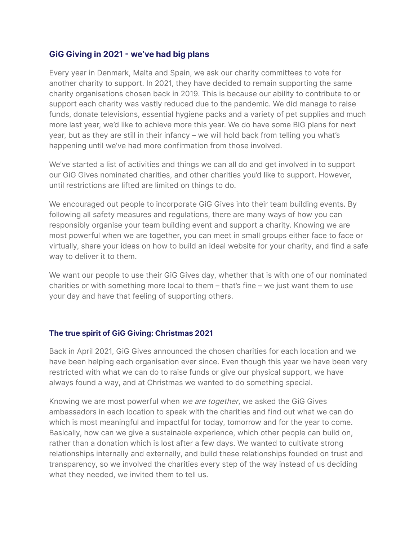### **GiG Giving in 2021 - we've had big plans**

Every year in Denmark, Malta and Spain, we ask our charity committees to vote for another charity to support. In 2021, they have decided to remain supporting the same charity organisations chosen back in 2019. This is because our ability to contribute to or support each charity was vastly reduced due to the pandemic. We did manage to raise funds, donate televisions, essential hygiene packs and a variety of pet supplies and much more last year, we'd like to achieve more this year. We do have some BIG plans for next year, but as they are still in their infancy – we will hold back from telling you what's happening until we've had more confirmation from those involved.

We've started a list of activities and things we can all do and get involved in to support our GiG Gives nominated charities, and other charities you'd like to support. However, until restrictions are lifted are limited on things to do.

We encouraged out people to incorporate GiG Gives into their team building events. By following all safety measures and regulations, there are many ways of how you can responsibly organise your team building event and support a charity. Knowing we are most powerful when we are together, you can meet in small groups either face to face or virtually, share your ideas on how to build an ideal website for your charity, and find a safe way to deliver it to them.

We want our people to use their GiG Gives day, whether that is with one of our nominated charities or with something more local to them – that's fine – we just want them to use your day and have that feeling of supporting others.

### **The true spirit of GiG Giving: Christmas 2021**

Back in April 2021, GiG Gives announced the chosen charities for each location and we have been helping each organisation ever since. Even though this year we have been very restricted with what we can do to raise funds or give our physical support, we have always found a way, and at Christmas we wanted to do something special.

Knowing we are most powerful when we are together, we asked the GiG Gives ambassadors in each location to speak with the charities and find out what we can do which is most meaningful and impactful for today, tomorrow and for the year to come. Basically, how can we give a sustainable experience, which other people can build on, rather than a donation which is lost after a few days. We wanted to cultivate strong relationships internally and externally, and build these relationships founded on trust and transparency, so we involved the charities every step of the way instead of us deciding what they needed, we invited them to tell us.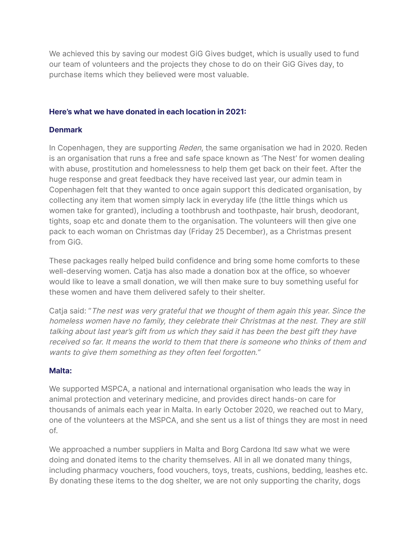We achieved this by saving our modest GiG Gives budget, which is usually used to fund our team of volunteers and the projects they chose to do on their GiG Gives day, to purchase items which they believed were most valuable.

### **Here's what we have donated in each location in 2021:**

## **Denmark**

In Copenhagen, they are supporting Reden, the same organisation we had in 2020. Reden is an organisation that runs a free and safe space known as 'The Nest' for women dealing with abuse, prostitution and homelessness to help them get back on their feet. After the huge response and great feedback they have received last year, our admin team in Copenhagen felt that they wanted to once again support this dedicated organisation, by collecting any item that women simply lack in everyday life (the little things which us women take for granted), including a toothbrush and toothpaste, hair brush, deodorant, tights, soap etc and donate them to the organisation. The volunteers will then give one pack to each woman on Christmas day (Friday 25 December), as a Christmas present from GiG.

These packages really helped build confidence and bring some home comforts to these well-deserving women. Catja has also made a donation box at the office, so whoever would like to leave a small donation, we will then make sure to buy something useful for these women and have them delivered safely to their shelter.

Catja said: ''The nest was very grateful that we thought of them again this year. Since the homeless women have no family, they celebrate their Christmas at the nest. They are still talking about last year's gift from us which they said it has been the best gift they have received so far. It means the world to them that there is someone who thinks of them and wants to give them something as they often feel forgotten.''

### **Malta:**

We supported MSPCA, a national and international organisation who leads the way in animal protection and veterinary medicine, and provides direct hands-on care for thousands of animals each year in Malta. In early October 2020, we reached out to Mary, one of the volunteers at the MSPCA, and she sent us a list of things they are most in need of.

We approached a number suppliers in Malta and Borg Cardona ltd saw what we were doing and donated items to the charity themselves. All in all we donated many things, including pharmacy vouchers, food vouchers, toys, treats, cushions, bedding, leashes etc. By donating these items to the dog shelter, we are not only supporting the charity, dogs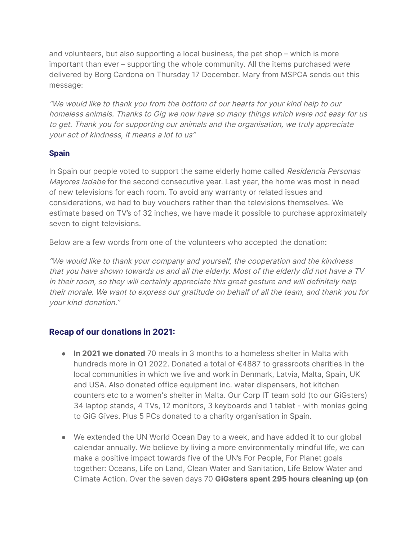and volunteers, but also supporting a local business, the pet shop – which is more important than ever – supporting the whole community. All the items purchased were delivered by Borg Cardona on Thursday 17 December. Mary from MSPCA sends out this message:

''We would like to thank you from the bottom of our hearts for your kind help to our homeless animals. Thanks to Gig we now have so many things which were not easy for us to get. Thank you for supporting our animals and the organisation, we truly appreciate your act of kindness, it means <sup>a</sup> lot to us''

## **Spain**

In Spain our people voted to support the same elderly home called Residencia Personas Mayores Isdabe for the second consecutive year. Last year, the home was most in need of new televisions for each room. To avoid any warranty or related issues and considerations, we had to buy vouchers rather than the televisions themselves. We estimate based on TV's of 32 inches, we have made it possible to purchase approximately seven to eight televisions.

Below are a few words from one of the volunteers who accepted the donation:

''We would like to thank your company and yourself, the cooperation and the kindness that you have shown towards us and all the elderly. Most of the elderly did not have <sup>a</sup> TV in their room, so they will certainly appreciate this great gesture and will definitely help their morale. We want to express our gratitude on behalf of all the team, and thank you for your kind donation.''

# **Recap of our donations in 2021:**

- **In 2021 we donated** 70 meals in 3 months to a homeless shelter in Malta with hundreds more in Q1 2022. Donated a total of €4887 to grassroots charities in the local communities in which we live and work in Denmark, Latvia, Malta, Spain, UK and USA. Also donated office equipment inc. water dispensers, hot kitchen counters etc to a women's shelter in Malta. Our Corp IT team sold (to our GiGsters) 34 laptop stands, 4 TVs, 12 monitors, 3 keyboards and 1 tablet - with monies going to GiG Gives. Plus 5 PCs donated to a charity organisation in Spain.
- We extended the UN World Ocean Day to a week, and have added it to our global calendar annually. We believe by living a more environmentally mindful life, we can make a positive impact towards five of the UN's For People, For Planet goals together: Oceans, Life on Land, Clean Water and Sanitation, Life Below Water and Climate Action. Over the seven days 70 **GiGsters spent 295 hours cleaning up (on**